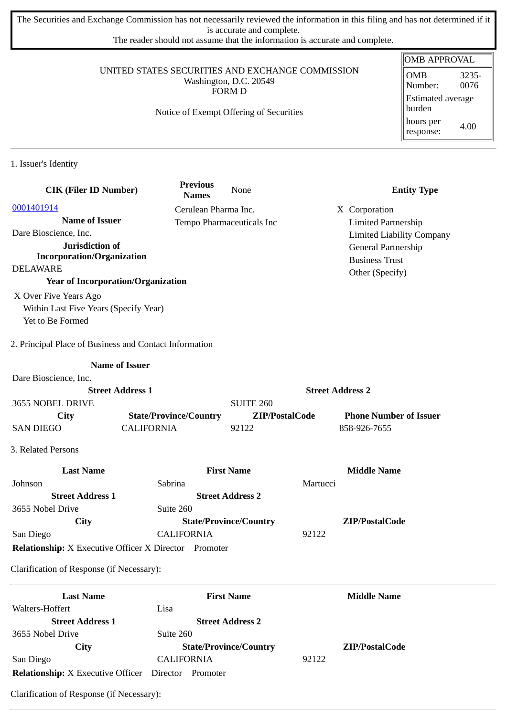The Securities and Exchange Commission has not necessarily reviewed the information in this filing and has not determined if it is accurate and complete.

The reader should not assume that the information is accurate and complete.

#### UNITED STATES SECURITIES AND EXCHANGE COMMISSION Washington, D.C. 20549 FORM D

### Notice of Exempt Offering of Securities

#### OMB APPROVAL OMB Number: 3235- 0076 Estimated average burden hours per response: 4.00

1. Issuer's Identity

| <b>CIK (Filer ID Number)</b>                                 | <b>Previous</b><br><b>Names</b> | None                          |                         | <b>Entity Type</b>               |
|--------------------------------------------------------------|---------------------------------|-------------------------------|-------------------------|----------------------------------|
| 0001401914                                                   | Cerulean Pharma Inc.            |                               |                         | X Corporation                    |
| <b>Name of Issuer</b>                                        |                                 | Tempo Pharmaceuticals Inc     |                         | <b>Limited Partnership</b>       |
| Dare Bioscience, Inc.                                        |                                 |                               |                         | <b>Limited Liability Company</b> |
| Jurisdiction of                                              |                                 |                               |                         | General Partnership              |
| <b>Incorporation/Organization</b>                            |                                 |                               |                         | <b>Business Trust</b>            |
| <b>DELAWARE</b>                                              |                                 |                               |                         | Other (Specify)                  |
| <b>Year of Incorporation/Organization</b>                    |                                 |                               |                         |                                  |
| X Over Five Years Ago                                        |                                 |                               |                         |                                  |
| Within Last Five Years (Specify Year)                        |                                 |                               |                         |                                  |
| Yet to Be Formed                                             |                                 |                               |                         |                                  |
| 2. Principal Place of Business and Contact Information       |                                 |                               |                         |                                  |
|                                                              | <b>Name of Issuer</b>           |                               |                         |                                  |
| Dare Bioscience, Inc.                                        |                                 |                               |                         |                                  |
|                                                              | <b>Street Address 1</b>         |                               | <b>Street Address 2</b> |                                  |
| 3655 NOBEL DRIVE                                             |                                 | <b>SUITE 260</b>              |                         |                                  |
| City                                                         | <b>State/Province/Country</b>   | ZIP/PostalCode                |                         | <b>Phone Number of Issuer</b>    |
| <b>SAN DIEGO</b>                                             | <b>CALIFORNIA</b>               | 92122                         |                         | 858-926-7655                     |
| 3. Related Persons                                           |                                 |                               |                         |                                  |
| <b>Last Name</b>                                             |                                 | <b>First Name</b>             |                         | <b>Middle Name</b>               |
| Johnson                                                      | Sabrina                         |                               | Martucci                |                                  |
| <b>Street Address 1</b>                                      |                                 | <b>Street Address 2</b>       |                         |                                  |
| 3655 Nobel Drive                                             | Suite 260                       |                               |                         |                                  |
| City                                                         |                                 | <b>State/Province/Country</b> |                         | ZIP/PostalCode                   |
| San Diego                                                    | <b>CALIFORNIA</b>               |                               | 92122                   |                                  |
| <b>Relationship:</b> X Executive Officer X Director Promoter |                                 |                               |                         |                                  |
| Clarification of Response (if Necessary):                    |                                 |                               |                         |                                  |
| <b>Last Name</b>                                             |                                 | <b>First Name</b>             |                         | <b>Middle Name</b>               |
| Walters-Hoffert                                              | Lisa                            |                               |                         |                                  |
| <b>Street Address 1</b>                                      |                                 | <b>Street Address 2</b>       |                         |                                  |
| 3655 Nobel Drive                                             | Suite 260                       |                               |                         |                                  |
| <b>City</b>                                                  |                                 | <b>State/Province/Country</b> |                         | ZIP/PostalCode                   |

Clarification of Response (if Necessary):

**Relationship:** X Executive Officer Director Promoter

San Diego CALIFORNIA 92122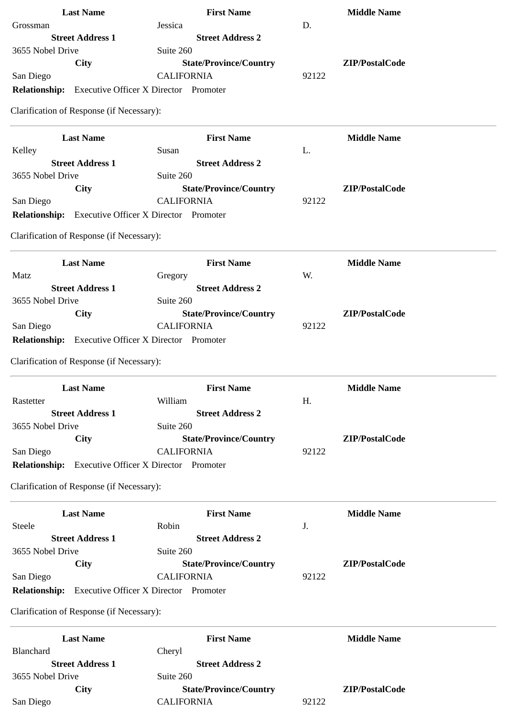| <b>Last Name</b>                                           | <b>First Name</b>                            | <b>Middle Name</b> |
|------------------------------------------------------------|----------------------------------------------|--------------------|
| Grossman                                                   | Jessica                                      | D.                 |
| <b>Street Address 1</b>                                    | <b>Street Address 2</b>                      |                    |
| 3655 Nobel Drive                                           | Suite 260                                    |                    |
| <b>City</b>                                                | <b>State/Province/Country</b>                | ZIP/PostalCode     |
| San Diego                                                  | <b>CALIFORNIA</b>                            | 92122              |
| <b>Relationship:</b>                                       | <b>Executive Officer X Director Promoter</b> |                    |
| Clarification of Response (if Necessary):                  |                                              |                    |
| <b>Last Name</b>                                           | <b>First Name</b>                            | <b>Middle Name</b> |
| Kelley                                                     | Susan                                        | L.                 |
| <b>Street Address 1</b>                                    | <b>Street Address 2</b>                      |                    |
| 3655 Nobel Drive                                           | Suite 260                                    |                    |
| <b>City</b>                                                | <b>State/Province/Country</b>                | ZIP/PostalCode     |
| San Diego                                                  | <b>CALIFORNIA</b>                            | 92122              |
| <b>Relationship:</b>                                       | <b>Executive Officer X Director Promoter</b> |                    |
| Clarification of Response (if Necessary):                  |                                              |                    |
|                                                            |                                              |                    |
| <b>Last Name</b>                                           | <b>First Name</b>                            | <b>Middle Name</b> |
| Matz                                                       | Gregory                                      | W.                 |
| <b>Street Address 1</b>                                    | <b>Street Address 2</b>                      |                    |
| 3655 Nobel Drive                                           | Suite 260                                    |                    |
| <b>City</b>                                                | <b>State/Province/Country</b>                | ZIP/PostalCode     |
| San Diego                                                  | <b>CALIFORNIA</b>                            | 92122              |
| Relationship: Executive Officer X Director Promoter        |                                              |                    |
| Clarification of Response (if Necessary):                  |                                              |                    |
| <b>Last Name</b>                                           | <b>First Name</b>                            | <b>Middle Name</b> |
| Rastetter                                                  | William                                      | H.                 |
| <b>Street Address 1</b>                                    | <b>Street Address 2</b>                      |                    |
| 3655 Nobel Drive                                           | Suite 260                                    |                    |
| City                                                       | <b>State/Province/Country</b>                | ZIP/PostalCode     |
| San Diego                                                  | <b>CALIFORNIA</b>                            | 92122              |
| <b>Relationship:</b> Executive Officer X Director Promoter |                                              |                    |
| Clarification of Response (if Necessary):                  |                                              |                    |
| <b>Last Name</b>                                           | <b>First Name</b>                            | <b>Middle Name</b> |
| Steele                                                     | Robin                                        | J.                 |
| <b>Street Address 1</b>                                    | <b>Street Address 2</b>                      |                    |
| 3655 Nobel Drive                                           | Suite 260                                    |                    |
| <b>City</b>                                                | <b>State/Province/Country</b>                | ZIP/PostalCode     |
| San Diego                                                  | <b>CALIFORNIA</b>                            | 92122              |
| Relationship: Executive Officer X Director Promoter        |                                              |                    |
| Clarification of Response (if Necessary):                  |                                              |                    |
| <b>Last Name</b>                                           | <b>First Name</b>                            | <b>Middle Name</b> |
| <b>Blanchard</b>                                           | Cheryl                                       |                    |
| <b>Street Address 1</b>                                    | <b>Street Address 2</b>                      |                    |
| 3655 Nobel Drive                                           | Suite 260                                    |                    |
| <b>City</b>                                                | <b>State/Province/Country</b>                | ZIP/PostalCode     |
| San Diego                                                  | <b>CALIFORNIA</b>                            | 92122              |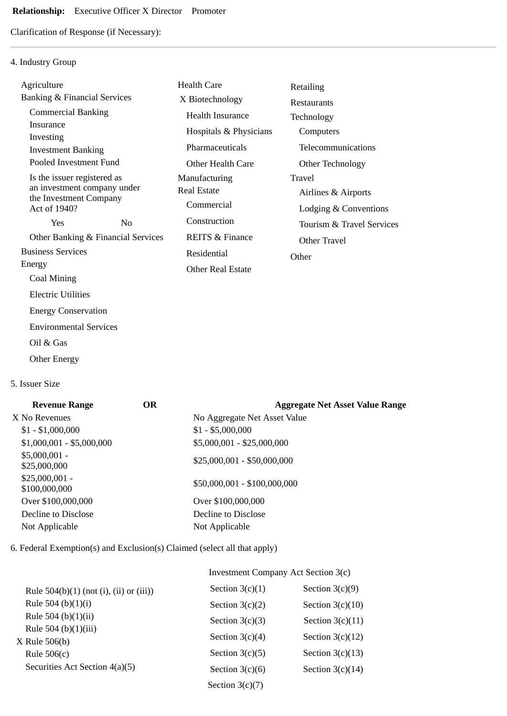# **Relationship:** Executive Officer X Director Promoter

Clarification of Response (if Necessary):

# 4. Industry Group

| Agriculture                                                                                          |                                    | <b>Health Care</b>                                | Retailing                                              |
|------------------------------------------------------------------------------------------------------|------------------------------------|---------------------------------------------------|--------------------------------------------------------|
| <b>Banking &amp; Financial Services</b>                                                              |                                    | X Biotechnology                                   | <b>Restaurants</b>                                     |
| <b>Commercial Banking</b>                                                                            |                                    | <b>Health Insurance</b>                           | Technology                                             |
| Insurance<br>Investing                                                                               |                                    | Hospitals & Physicians                            | Computers                                              |
| <b>Investment Banking</b>                                                                            |                                    | Pharmaceuticals                                   | Telecommunications                                     |
| Pooled Investment Fund                                                                               |                                    | Other Health Care                                 | Other Technology                                       |
| Is the issuer registered as<br>an investment company under<br>the Investment Company<br>Act of 1940? |                                    | Manufacturing<br><b>Real Estate</b><br>Commercial | Travel<br>Airlines & Airports<br>Lodging & Conventions |
| Yes                                                                                                  | No                                 | Construction                                      | Tourism & Travel Services                              |
|                                                                                                      | Other Banking & Financial Services | <b>REITS &amp; Finance</b>                        | Other Travel                                           |
| <b>Business Services</b>                                                                             |                                    | Residential                                       | Other                                                  |
| Energy                                                                                               |                                    | <b>Other Real Estate</b>                          |                                                        |
| Coal Mining                                                                                          |                                    |                                                   |                                                        |
| <b>Electric Utilities</b>                                                                            |                                    |                                                   |                                                        |
| <b>Energy Conservation</b>                                                                           |                                    |                                                   |                                                        |
| <b>Environmental Services</b>                                                                        |                                    |                                                   |                                                        |
| Oil & Gas                                                                                            |                                    |                                                   |                                                        |
|                                                                                                      |                                    |                                                   |                                                        |

5. Issuer Size

Other Energy

| <b>Revenue Range</b>             | OR | <b>Aggregate Net Asset Value Range</b> |
|----------------------------------|----|----------------------------------------|
| X No Revenues                    |    | No Aggregate Net Asset Value           |
| $$1 - $1,000,000$                |    | $$1 - $5,000,000$                      |
| $$1,000,001 - $5,000,000$        |    | \$5,000,001 - \$25,000,000             |
| $$5,000,001 -$<br>\$25,000,000   |    | $$25,000,001 - $50,000,000$            |
| $$25,000,001 -$<br>\$100,000,000 |    | \$50,000,001 - \$100,000,000           |
| Over \$100,000,000               |    | Over \$100,000,000                     |
| Decline to Disclose              |    | Decline to Disclose                    |
| Not Applicable                   |    | Not Applicable                         |
|                                  |    |                                        |

6. Federal Exemption(s) and Exclusion(s) Claimed (select all that apply)

|                                           | Investment Company Act Section 3(c) |                    |  |  |
|-------------------------------------------|-------------------------------------|--------------------|--|--|
| Rule $504(b)(1)$ (not (i), (ii) or (iii)) | Section $3(c)(1)$                   | Section $3(c)(9)$  |  |  |
| Rule 504 (b) $(1)(i)$                     | Section $3(c)(2)$                   | Section $3(c)(10)$ |  |  |
| Rule 504 (b) $(1)(ii)$                    | Section $3(c)(3)$                   | Section $3(c)(11)$ |  |  |
| Rule 504 (b) $(1)(iii)$<br>X Rule 506(b)  | Section $3(c)(4)$                   | Section $3(c)(12)$ |  |  |
| Rule $506(c)$                             | Section $3(c)(5)$                   | Section $3(c)(13)$ |  |  |
| Securities Act Section 4(a)(5)            | Section $3(c)(6)$                   | Section $3(c)(14)$ |  |  |
|                                           | Section $3(c)(7)$                   |                    |  |  |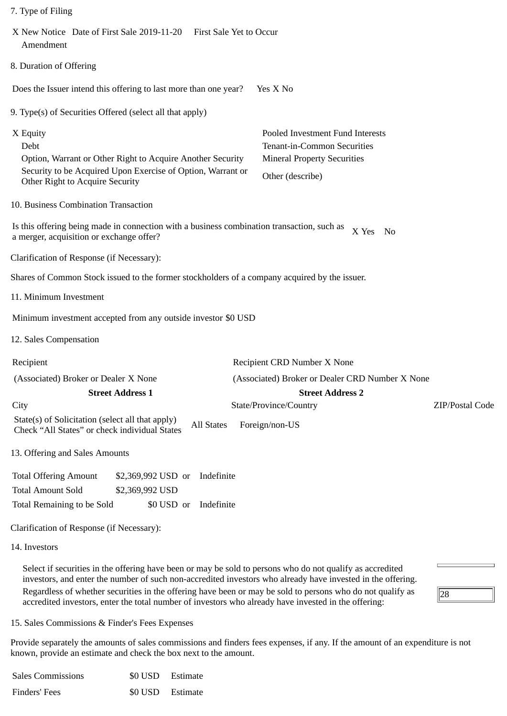|  | 7. Type of Filing |  |
|--|-------------------|--|
|  |                   |  |

| X New Notice Date of First Sale 2019-11-20 First Sale Yet to Occur<br>Amendment                                                                                                                                                                                                                                                                                                                                                               |                                                                                                                           |                 |
|-----------------------------------------------------------------------------------------------------------------------------------------------------------------------------------------------------------------------------------------------------------------------------------------------------------------------------------------------------------------------------------------------------------------------------------------------|---------------------------------------------------------------------------------------------------------------------------|-----------------|
| 8. Duration of Offering                                                                                                                                                                                                                                                                                                                                                                                                                       |                                                                                                                           |                 |
| Does the Issuer intend this offering to last more than one year?                                                                                                                                                                                                                                                                                                                                                                              | Yes X No                                                                                                                  |                 |
| 9. Type(s) of Securities Offered (select all that apply)                                                                                                                                                                                                                                                                                                                                                                                      |                                                                                                                           |                 |
| X Equity<br>Debt<br>Option, Warrant or Other Right to Acquire Another Security<br>Security to be Acquired Upon Exercise of Option, Warrant or<br>Other Right to Acquire Security                                                                                                                                                                                                                                                              | Pooled Investment Fund Interests<br>Tenant-in-Common Securities<br><b>Mineral Property Securities</b><br>Other (describe) |                 |
| 10. Business Combination Transaction                                                                                                                                                                                                                                                                                                                                                                                                          |                                                                                                                           |                 |
| Is this offering being made in connection with a business combination transaction, such as<br>a merger, acquisition or exchange offer?                                                                                                                                                                                                                                                                                                        | X Yes<br>$\mathbf{N}\mathbf{o}$                                                                                           |                 |
| Clarification of Response (if Necessary):                                                                                                                                                                                                                                                                                                                                                                                                     |                                                                                                                           |                 |
| Shares of Common Stock issued to the former stockholders of a company acquired by the issuer.                                                                                                                                                                                                                                                                                                                                                 |                                                                                                                           |                 |
| 11. Minimum Investment                                                                                                                                                                                                                                                                                                                                                                                                                        |                                                                                                                           |                 |
| Minimum investment accepted from any outside investor \$0 USD                                                                                                                                                                                                                                                                                                                                                                                 |                                                                                                                           |                 |
| 12. Sales Compensation                                                                                                                                                                                                                                                                                                                                                                                                                        |                                                                                                                           |                 |
| Recipient                                                                                                                                                                                                                                                                                                                                                                                                                                     | Recipient CRD Number X None                                                                                               |                 |
| (Associated) Broker or Dealer X None                                                                                                                                                                                                                                                                                                                                                                                                          | (Associated) Broker or Dealer CRD Number X None                                                                           |                 |
| <b>Street Address 1</b>                                                                                                                                                                                                                                                                                                                                                                                                                       | <b>Street Address 2</b>                                                                                                   |                 |
| City                                                                                                                                                                                                                                                                                                                                                                                                                                          | State/Province/Country                                                                                                    | ZIP/Postal Code |
| State(s) of Solicitation (select all that apply)<br><b>All States</b><br>Check "All States" or check individual States                                                                                                                                                                                                                                                                                                                        | Foreign/non-US                                                                                                            |                 |
| 13. Offering and Sales Amounts                                                                                                                                                                                                                                                                                                                                                                                                                |                                                                                                                           |                 |
| <b>Total Offering Amount</b><br>Indefinite<br>\$2,369,992 USD or                                                                                                                                                                                                                                                                                                                                                                              |                                                                                                                           |                 |
| <b>Total Amount Sold</b><br>\$2,369,992 USD                                                                                                                                                                                                                                                                                                                                                                                                   |                                                                                                                           |                 |
| Total Remaining to be Sold<br>\$0 USD or<br>Indefinite                                                                                                                                                                                                                                                                                                                                                                                        |                                                                                                                           |                 |
| Clarification of Response (if Necessary):                                                                                                                                                                                                                                                                                                                                                                                                     |                                                                                                                           |                 |
| 14. Investors                                                                                                                                                                                                                                                                                                                                                                                                                                 |                                                                                                                           |                 |
| Select if securities in the offering have been or may be sold to persons who do not qualify as accredited<br>investors, and enter the number of such non-accredited investors who already have invested in the offering.<br>Regardless of whether securities in the offering have been or may be sold to persons who do not qualify as<br>correlited investors, enter the total number of investors who already have invested in the offering |                                                                                                                           | 28              |

15. Sales Commissions & Finder's Fees Expenses

Provide separately the amounts of sales commissions and finders fees expenses, if any. If the amount of an expenditure is not known, provide an estimate and check the box next to the amount.

accredited investors, enter the total number of investors who already have invested in the offering:

| <b>Sales Commissions</b> | \$0 USD Estimate |  |
|--------------------------|------------------|--|
| Finders' Fees            | \$0 USD Estimate |  |